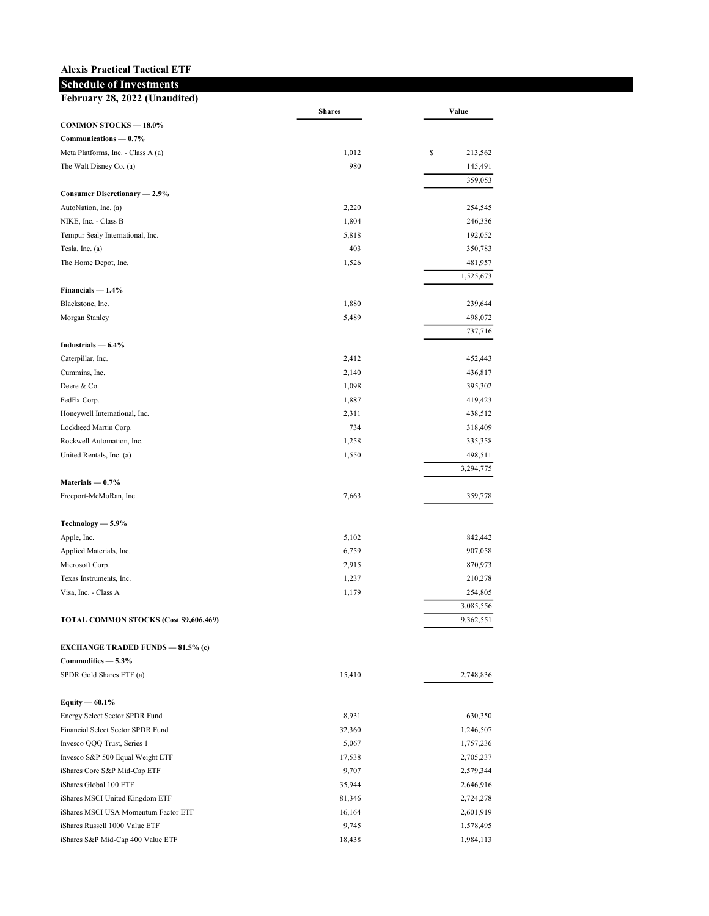## Alexis Practical Tactical ETF

## Schedule of Investments

| February 28, 2022 (Unaudited)            |               |                      |  |  |
|------------------------------------------|---------------|----------------------|--|--|
| COMMON STOCKS - 18.0%                    | <b>Shares</b> | Value                |  |  |
| Communications - 0.7%                    |               |                      |  |  |
| Meta Platforms, Inc. - Class A (a)       | 1,012         | \$<br>213,562        |  |  |
| The Walt Disney Co. (a)                  | 980           | 145,491              |  |  |
|                                          |               | 359,053              |  |  |
| Consumer Discretionary - 2.9%            |               |                      |  |  |
| AutoNation, Inc. (a)                     | 2,220         | 254,545              |  |  |
| NIKE, Inc. - Class B                     | 1,804         | 246,336              |  |  |
| Tempur Sealy International, Inc.         | 5,818         | 192,052              |  |  |
| Tesla, Inc. (a)                          | 403           | 350,783              |  |  |
| The Home Depot, Inc.                     | 1,526         | 481,957              |  |  |
|                                          |               | 1,525,673            |  |  |
| Financials $-1.4%$                       |               |                      |  |  |
| Blackstone, Inc.                         | 1,880         | 239,644              |  |  |
| Morgan Stanley                           | 5,489         | 498,072              |  |  |
|                                          |               | 737,716              |  |  |
| Industrials $-6.4\%$                     |               |                      |  |  |
| Caterpillar, Inc.                        | 2,412         | 452,443              |  |  |
| Cummins, Inc.                            | 2,140         | 436,817              |  |  |
| Deere & Co.                              | 1,098         | 395,302              |  |  |
| FedEx Corp.                              | 1,887         | 419,423              |  |  |
| Honeywell International, Inc.            | 2,311         | 438,512              |  |  |
| Lockheed Martin Corp.                    | 734           | 318,409              |  |  |
| Rockwell Automation, Inc.                | 1,258         | 335,358              |  |  |
| United Rentals, Inc. (a)                 | 1,550         | 498,511<br>3,294,775 |  |  |
| Materials $-0.7%$                        |               |                      |  |  |
| Freeport-McMoRan, Inc.                   | 7,663         | 359,778              |  |  |
| Technology - 5.9%                        |               |                      |  |  |
| Apple, Inc.                              | 5,102         | 842,442              |  |  |
| Applied Materials, Inc.                  | 6,759         | 907,058              |  |  |
| Microsoft Corp.                          | 2,915         | 870,973              |  |  |
| Texas Instruments, Inc.                  | 1,237         | 210,278              |  |  |
| Visa, Inc. - Class A                     | 1,179         | 254,805              |  |  |
|                                          |               | 3,085,556            |  |  |
| TOTAL COMMON STOCKS (Cost \$9,606,469)   |               | 9,362,551            |  |  |
| <b>EXCHANGE TRADED FUNDS - 81.5% (c)</b> |               |                      |  |  |
| Commodities - 5.3%                       |               |                      |  |  |
| SPDR Gold Shares ETF (a)                 | 15,410        | 2,748,836            |  |  |
| Equity $-60.1\%$                         |               |                      |  |  |
| Energy Select Sector SPDR Fund           | 8,931         | 630,350              |  |  |
| Financial Select Sector SPDR Fund        | 32,360        | 1,246,507            |  |  |
| Invesco QQQ Trust, Series 1              | 5,067         | 1,757,236            |  |  |
| Invesco S&P 500 Equal Weight ETF         | 17,538        | 2,705,237            |  |  |
| iShares Core S&P Mid-Cap ETF             | 9,707         | 2,579,344            |  |  |
| iShares Global 100 ETF                   | 35,944        | 2,646,916            |  |  |
| iShares MSCI United Kingdom ETF          | 81,346        | 2,724,278            |  |  |
| iShares MSCI USA Momentum Factor ETF     | 16,164        | 2,601,919            |  |  |
| iShares Russell 1000 Value ETF           | 9,745         | 1,578,495            |  |  |
| iShares S&P Mid-Cap 400 Value ETF        | 18,438        | 1,984,113            |  |  |